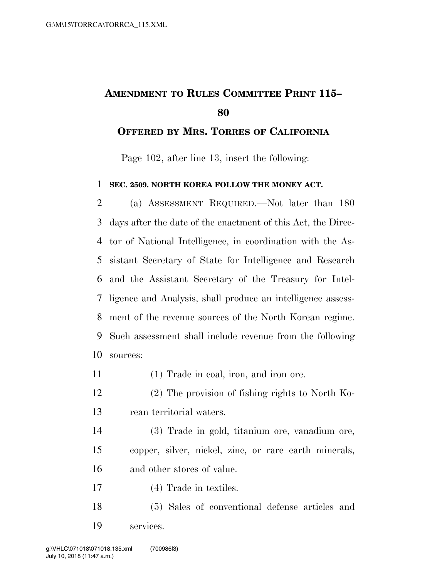## **AMENDMENT TO RULES COMMITTEE PRINT 115–**

## **OFFERED BY MRS. TORRES OF CALIFORNIA**

Page 102, after line 13, insert the following:

## **SEC. 2509. NORTH KOREA FOLLOW THE MONEY ACT.**

 (a) ASSESSMENT REQUIRED.—Not later than 180 days after the date of the enactment of this Act, the Direc- tor of National Intelligence, in coordination with the As- sistant Secretary of State for Intelligence and Research and the Assistant Secretary of the Treasury for Intel- ligence and Analysis, shall produce an intelligence assess- ment of the revenue sources of the North Korean regime. Such assessment shall include revenue from the following sources:

- (1) Trade in coal, iron, and iron ore.
- (2) The provision of fishing rights to North Ko-rean territorial waters.
- (3) Trade in gold, titanium ore, vanadium ore, copper, silver, nickel, zinc, or rare earth minerals, and other stores of value.
- (4) Trade in textiles.
- (5) Sales of conventional defense articles and services.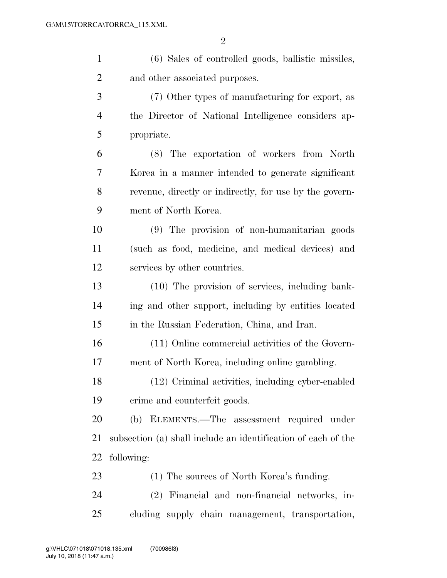| $\mathbf{1}$   | (6) Sales of controlled goods, ballistic missiles,            |
|----------------|---------------------------------------------------------------|
| $\overline{2}$ | and other associated purposes.                                |
| 3              | (7) Other types of manufacturing for export, as               |
| 4              | the Director of National Intelligence considers ap-           |
| 5              | propriate.                                                    |
| 6              | (8) The exportation of workers from North                     |
| 7              | Korea in a manner intended to generate significant            |
| 8              | revenue, directly or indirectly, for use by the govern-       |
| 9              | ment of North Korea.                                          |
| 10             | (9) The provision of non-humanitarian goods                   |
| 11             | (such as food, medicine, and medical devices) and             |
| 12             | services by other countries.                                  |
| 13             | (10) The provision of services, including bank-               |
| 14             | ing and other support, including by entities located          |
| 15             | in the Russian Federation, China, and Iran.                   |
| 16             | (11) Online commercial activities of the Govern-              |
| 17             | ment of North Korea, including online gambling.               |
| 18             | (12) Criminal activities, including cyber-enabled             |
| 19             | crime and counterfeit goods.                                  |
| 20             | (b) ELEMENTS.—The assessment required under                   |
| 21             | subsection (a) shall include an identification of each of the |
| 22             | following:                                                    |
| 23             | (1) The sources of North Korea's funding.                     |
| 24             | (2) Financial and non-financial networks, in-                 |
| 25             | cluding supply chain management, transportation,              |